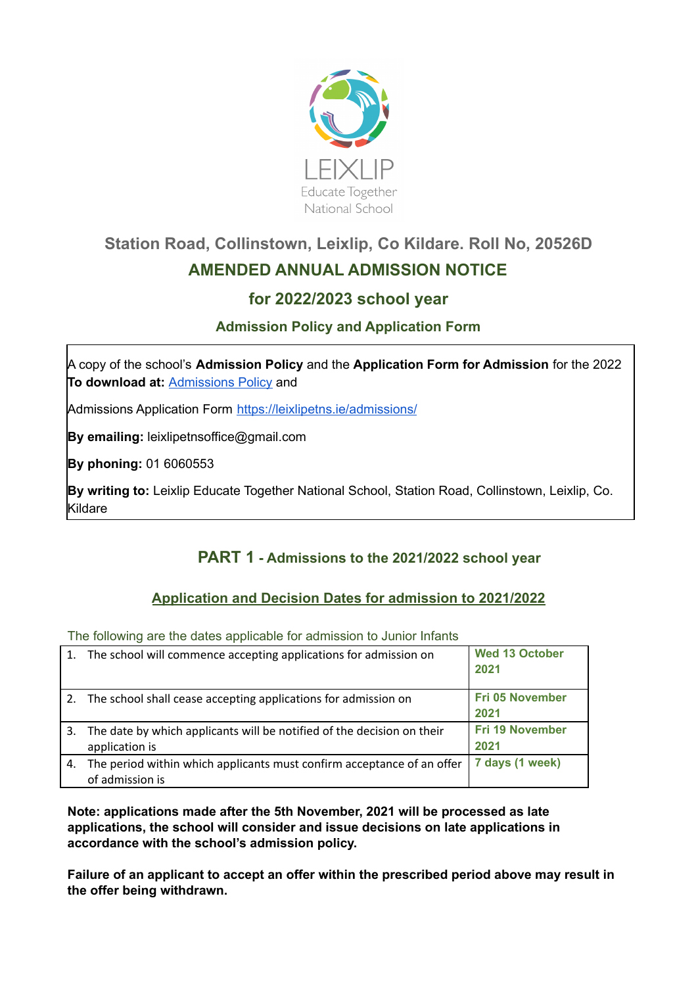

# **Station Road, Collinstown, Leixlip, Co Kildare. Roll No, 20526D AMENDED ANNUAL ADMISSION NOTICE**

## **for 2022/2023 school year**

## **Admission Policy and Application Form**

A copy of the school's **Admission Policy** and the **Application Form for Admission** for the 2022 **To download at:** [Admissions](https://leixlipetns.ie/wp-content/uploads/sites/14/2020/09/Admissions-Policy-August-2020.pdf) Policy and

Admissions Application Form <https://leixlipetns.ie/admissions/>

**By emailing:** leixlipetnsoffice@gmail.com

**By phoning:** 01 6060553

**By writing to:** Leixlip Educate Together National School, Station Road, Collinstown, Leixlip, Co. Kildare

## **PART 1 - Admissions to the 2021/2022 school year**

### **Application and Decision Dates for admission to 2021/2022**

The following are the dates applicable for admission to Junior Infants

|    | 1. The school will commence accepting applications for admission on                       | <b>Wed 13 October</b><br>2021  |
|----|-------------------------------------------------------------------------------------------|--------------------------------|
|    | 2. The school shall cease accepting applications for admission on                         | Fri 05 November<br>2021        |
| 3. | The date by which applicants will be notified of the decision on their<br>application is  | <b>Fri 19 November</b><br>2021 |
| 4. | The period within which applicants must confirm acceptance of an offer<br>of admission is | 7 days (1 week)                |

**Note: applications made after the 5th November, 2021 will be processed as late applications, the school will consider and issue decisions on late applications in accordance with the school's admission policy.**

**Failure of an applicant to accept an offer within the prescribed period above may result in the offer being withdrawn.**